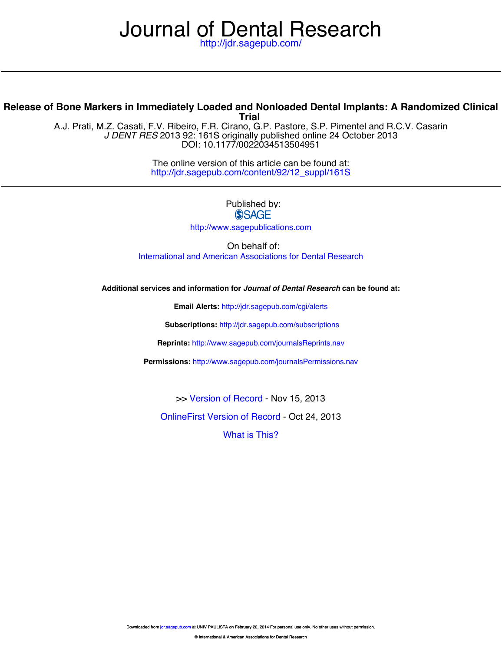# Journal [of Dental Resea](http://www.sagepub.com/journalsReprints.nav)rch

<http://jdr.sagepub.com/>

## **Trial Release of Bone Markers in Immediately Loaded and Nonloaded Dental Implants: A Randomized Clinical**

DOI: 10.1177/0022034513504951 *J DENT RES* 2013 9[2: 161S originally pu](http://jdr.sagepub.com/content/92/12_suppl/161S.full.pdf)blished online 24 October 2013 A.J. Prati, M.Z. Casati, F.V. Ribeiro, F.R. Cirano, G.P. Pastore, S.P. Pimentel and R.C.V. Casarin

> [http://jdr.sagepub.com/content/92/12\\_suppl/161S](http://jdr.sagepub.com/content/92/12_suppl/161S) T[he online version of this article c](http://jdr.sagepub.com/content/early/2013/09/26/0022034513504951.full.pdf)an be found at:

> > Published by:<br>
> > SAGE <http://www.sagepublications.com>

On behalf of: [International and American Associations for Dental Research](http://www.dentalresearch.org/i4a/pages/index.cfm?pageid=3533)

**Additional services and information for** *Journal of Dental Research* **can be found at:**

**Email Alerts:** <http://jdr.sagepub.com/cgi/alerts>

**Subscriptions:** <http://jdr.sagepub.com/subscriptions>

**Reprints:** <http://www.sagepub.com/journalsReprints.nav>

**Permissions:** <http://www.sagepub.com/journalsPermissions.nav>

>> [Version of Record -](http://jdr.sagepub.com/content/92/12_suppl/161S.full.pdf) Nov 15, 2013

[OnlineFirst Version of Record -](http://jdr.sagepub.com/content/early/2013/09/26/0022034513504951.full.pdf) Oct 24, 2013

[What is This?](http://online.sagepub.com/site/sphelp/vorhelp.xhtml)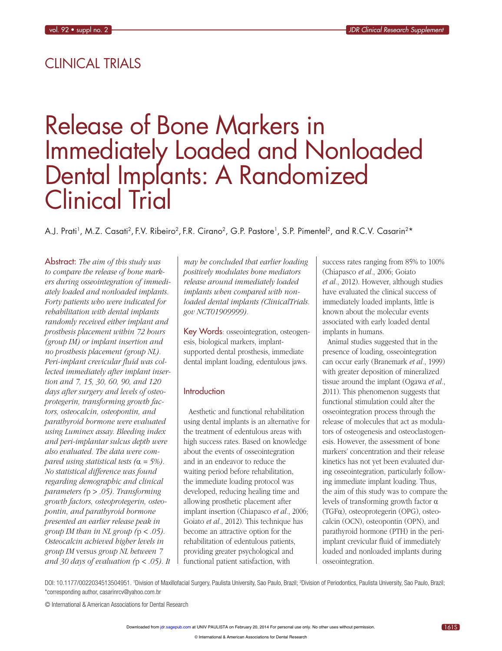## CLINICAL TRIALS

## Release of Bone Markers in Immediately Loaded and Nonloaded Dental Implants: A Randomized Clinical Trial

A.J. Prati<sup>1</sup>, M.Z. Casati<sup>2</sup>, F.V. Ribeiro<sup>2</sup>, F.R. Cirano<sup>2</sup>, G.P. Pastore<sup>1</sup>, S.P. Pimentel<sup>2</sup>, and R.C.V. Casarin<sup>2\*</sup>

Abstract: The aim of this study was to compare the release of bone markers during osseointegration of immediately loaded and nonloaded implants. Forty patients who were indicated for rehabilitation with dental implants randomly received either implant and prosthesis placement within 72 hours (group IM) or implant insertion and no prosthesis placement (group NL). Peri-implant crevicular fluid was collected immediately after implant insertion and 7, 15, 30, 60, 90, and 120 days after surgery and levels of osteoprotegerin, transforming growth factors, osteocalcin, osteopontin, and parathyroid hormone were evaluated using Luminex assay. Bleeding index and peri-implantar sulcus depth were also evaluated. The data were compared using statistical tests ( $\alpha = 5\%$ ). No statistical difference was found regarding demographic and clinical parameters ( $p > .05$ ). Transforming growth factors, osteoprotegerin, osteopontin, and parathyroid hormone presented an earlier release peak in group IM than in NL group  $(p < .05)$ . Osteocalcin achieved higher levels in group IM versus group NL between 7 and 30 days of evaluation ( $p < .05$ ). It

may be concluded that earlier loading positively modulates bone mediators release around immediately loaded implants when compared with nonloaded dental implants (ClinicalTrials. gov NCT01909999).

Key Words: osseointegration, osteogenesis, biological markers, implantsupported dental prosthesis, immediate dental implant loading, edentulous jaws.

## Introduction

Aesthetic and functional rehabilitation using dental implants is an alternative for the treatment of edentulous areas with high success rates. Based on knowledge about the events of osseointegration and in an endeavor to reduce the waiting period before rehabilitation, the immediate loading protocol was developed, reducing healing time and allowing prosthetic placement after implant insertion (Chiapasco et al., 2006; Goiato et al., 2012). This technique has become an attractive option for the rehabilitation of edentulous patients, providing greater psychological and functional patient satisfaction, with

success rates ranging from 85% to 100% (Chiapasco et al., 2006; Goiato et al., 2012). However, although studies have evaluated the clinical success of immediately loaded implants, little is known about the molecular events associated with early loaded dental implants in humans.

Animal studies suggested that in the presence of loading, osseointegration can occur early (Branemark et al., 1999) with greater deposition of mineralized tissue around the implant (Ogawa et al., 2011). This phenomenon suggests that functional stimulation could alter the osseointegration process through the release of molecules that act as modulators of osteogenesis and osteoclastogenesis. However, the assessment of bone markers' concentration and their release kinetics has not yet been evaluated during osseointegration, particularly following immediate implant loading. Thus, the aim of this study was to compare the levels of transforming growth factor  $\alpha$  $(TGF\alpha)$ , osteoprotegerin (OPG), osteocalcin (OCN), osteopontin (OPN), and parathyroid hormone (PTH) in the periimplant crevicular fluid of immediately loaded and nonloaded implants during osseointegration.

DOI: 10.1177/0022034513504951. 'Division of Maxillofacial Surgery, Paulista University, Sao Paulo, Brazil; <sup>2</sup>Division of Periodontics, Paulista University, Sao Paulo, Brazil; \*corresponding author, [casarinrcv@yahoo.com.br](mailto:casarinrcv@yahoo.com.br)

© International & American Associations for Dental Research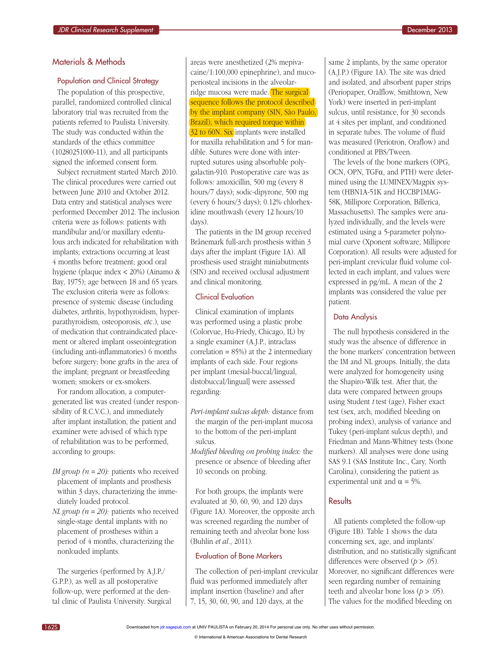#### Materials & Methods

#### Population and Clinical Strategy

The population of this prospective, parallel, randomized controlled clinical laboratory trial was recruited from the patients referred to Paulista University. The study was conducted within the standards of the ethics committee (10280251000-11), and all participants signed the informed consent form.

Subject recruitment started March 2010. The clinical procedures were carried out between June 2010 and October 2012. Data entry and statistical analyses were performed December 2012. The inclusion criteria were as follows: patients with mandibular and/or maxillary edentulous arch indicated for rehabilitation with implants; extractions occurring at least 4 months before treatment; good oral hygiene (plaque index < 20%) (Ainamo & Bay, 1975); age between 18 and 65 years. The exclusion criteria were as follows: presence of systemic disease (including diabetes, arthritis, hypothyroidism, hyperparathyroidism, osteoporosis, etc.), use of medication that contraindicated placement or altered implant osseointegration (including anti-inflammatories) 6 months before surgery; bone grafts in the area of the implant; pregnant or breastfeeding women; smokers or ex-smokers.

For random allocation, a computergenerated list was created (under responsibility of R.C.V.C.), and immediately after implant installation, the patient and examiner were advised of which type of rehabilitation was to be performed, according to groups:

- *IM group (* $n = 20$ *):* patients who received placement of implants and prosthesis within 3 days, characterizing the immediately loaded protocol.
- *NL* group  $(n = 20)$ : patients who received single-stage dental implants with no placement of prostheses within a period of 4 months, characterizing the nonloaded implants.

The surgeries (performed by A.J.P./ G.P.P.), as well as all postoperative follow-up, were performed at the dental clinic of Paulista University. Surgical

areas were anesthetized (2% mepivacaine/1:100,000 epinephrine), and mucoperiosteal incisions in the alveolarridge mucosa were made. The surgical sequence follows the protocol described by the implant company (SIN, São Paulo, Brazil), which required torque within 32 to 60N. Six implants were installed for maxilla rehabilitation and 5 for mandible. Sutures were done with interrupted sutures using absorbable polygalactin-910. Postoperative care was as follows: amoxicillin, 500 mg (every 8 hours/7 days); sodic-dipyrone, 500 mg (every 6 hours/3 days); 0.12% chlorhexidine mouthwash (every 12 hours/10 days).

The patients in the IM group received Brånemark full-arch prosthesis within 3 days after the implant (Figure 1A). All prosthesis used straight miniabutments (SIN) and received occlusal adjustment and clinical monitoring.

## Clinical Evaluation

Clinical examination of implants was performed using a plastic probe (Colorvue, Hu-Friedy, Chicago, IL) by a single examiner (A.J.P., intraclass correlation =  $85\%$ ) at the 2 intermediary implants of each side. Four regions per implant (mesial-buccal/lingual, distobuccal/lingual] were assessed regarding:

- Peri-implant sulcus depth: distance from the margin of the peri-implant mucosa to the bottom of the peri-implant sulcus.
- Modified bleeding on probing index: the presence or absence of bleeding after 10 seconds on probing.

For both groups, the implants were evaluated at 30, 60, 90, and 120 days (Figure 1A). Moreover, the opposite arch was screened regarding the number of remaining teeth and alveolar bone loss (Buhlin et al., 2011).

## Evaluation of Bone Markers

The collection of peri-implant crevicular fluid was performed immediately after implant insertion (baseline) and after 7, 15, 30, [60, 90, and](http://jdr.sagepub.com/) 120 days, at the

same 2 implants, by the same operator (A.J.P.) (Figure 1A). The site was dried and isolated, and absorbent paper strips (Periopaper, Oralflow, Smithtown, New York) were inserted in peri-implant sulcus, until resistance, for 30 seconds at 4 sites per implant, and conditioned in separate tubes. The volume of fluid was measured (Periotron, Oraflow) and conditioned at PBS/Tween.

The levels of the bone markers (OPG, OCN, OPN, TGFa, and PTH) were determined using the LUMINEX/Magpix system (HBN1A-51K and HCCBP1MAG-58K, Millipore Corporation, Billerica, Massachusetts). The samples were analyzed individually, and the levels were estimated using a 5-parameter polynomial curve (Xponent software, Millipore Corporation). All results were adjusted for peri-implant crevicular fluid volume collected in each implant, and values were expressed in pg/mL. A mean of the 2 implants was considered the value per patient.

#### Data Analysis

The null hypothesis considered in the study was the absence of difference in the bone markers' concentration between the IM and NL groups. Initially, the data were analyzed for homogeneity using the Shapiro-Wilk test. After that, the data were compared between groups using Student  $t$  test (age), Fisher exact test (sex, arch, modified bleeding on probing index), analysis of variance and Tukey (peri-implant sulcus depth), and Friedman and Mann-Whitney tests (bone markers). All analyses were done using SAS 9.1 (SAS Institute Inc., Cary, North Carolina), considering the patient as experimental unit and  $\alpha = 5\%$ .

## **Results**

All patients completed the follow-up (Figure 1B). Table 1 shows the data concerning sex, age, and implants' distribution, and no statistically significant differences were observed  $(p > .05)$ . Moreover, no significant differences were seen regarding number of remaining teeth and alveolar bone loss  $(p > .05)$ . The values for the modified bleeding on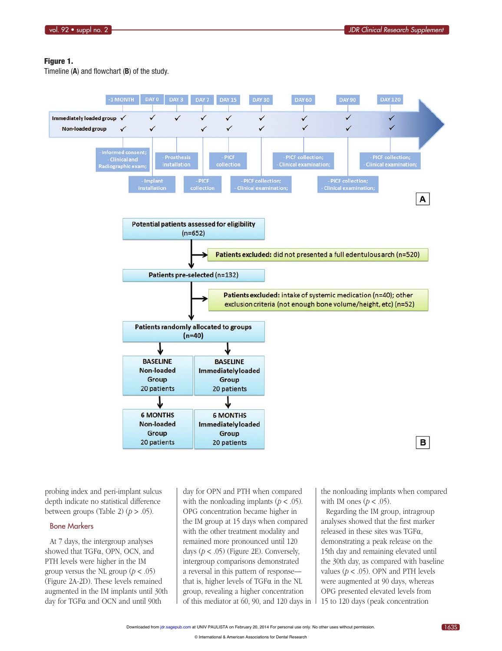#### Figure 1.

Timeline (A) and flowchart (B) of the study.



probing index and peri-implant sulcus depth indicate no statistical difference between groups (Table 2)  $(p > .05)$ .

#### Bone Markers

At 7 days, the intergroup analyses showed that TGFa, OPN, OCN, and PTH levels were higher in the IM group versus the NL group ( $p < .05$ ) (Figure 2A-2D). These levels remained augmented in the IM implants until 30th day for TGF $\alpha$  and OCN and until 90th

day for OPN and PTH when compared with the nonloading implants ( $p < .05$ ). OPG concentration became higher in the IM group at 15 days when compared with the other treatment modality and remained more pronounced until 120 days  $(p < .05)$  (Figure 2E). Conversely, intergroup comparisons demonstrated a reversal in this pattern of response that is, higher levels of  $TGF\alpha$  in the NL group, revealing a higher concentration of this med[iator at 60, 9](http://jdr.sagepub.com/)0, and 120 days in

the nonloading implants when compared with IM ones  $(p < .05)$ .

Regarding the IM group, intragroup analyses showed that the first marker released in these sites was TGF $\alpha$ , demonstrating a peak release on the 15th day and remaining elevated until the 30th day, as compared with baseline values ( $p < .05$ ). OPN and PTH levels were augmented at 90 days, whereas OPG presented elevated levels from 15 to 120 days (peak concentration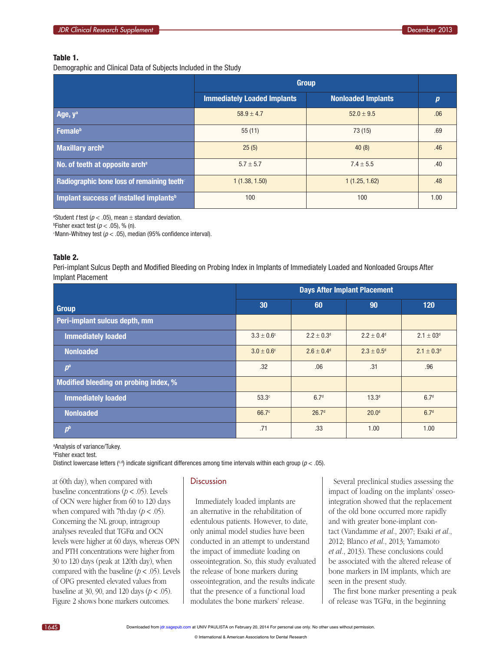#### Table 1.

Demographic and Clinical Data of Subjects Included in the Study

|                                                    | <b>Group</b>                       |                           |      |
|----------------------------------------------------|------------------------------------|---------------------------|------|
|                                                    | <b>Immediately Loaded Implants</b> | <b>Nonloaded Implants</b> | p    |
| Age, $y^a$                                         | $58.9 + 4.7$                       | $52.0 + 9.5$              | .06  |
| Female <sup>b</sup>                                | 55(11)                             | 73 (15)                   | .69  |
| Maxillary arch <sup>b</sup>                        | 25(5)                              | 40(8)                     | .46  |
| No. of teeth at opposite arch <sup>a</sup>         | $5.7 \pm 5.7$                      | $7.4 \pm 5.5$             | .40  |
| Radiographic bone loss of remaining teeth          | 1(1.38, 1.50)                      | 1(1.25, 1.62)             | .48  |
| Implant success of installed implants <sup>b</sup> | 100                                | 100                       | 1.00 |

<sup>a</sup>Student *t* test ( $p < .05$ ), mean  $\pm$  standard deviation.

<sup>b</sup>Fisher exact test ( $p < .05$ ), % (n).

Mann-Whitney test ( $p < .05$ ), median (95% confidence interval).

#### Table 2.

Peri-implant Sulcus Depth and Modified Bleeding on Probing Index in Implants of Immediately Loaded and Nonloaded Groups After Implant Placement

|                                       | <b>Days After Implant Placement</b> |                            |                          |                            |
|---------------------------------------|-------------------------------------|----------------------------|--------------------------|----------------------------|
| Group                                 | 30                                  | 60                         | 90                       | 120                        |
| Peri-implant sulcus depth, mm         |                                     |                            |                          |                            |
| <b>Immediately loaded</b>             | $3.3 \pm 0.6^{\circ}$               | $2.2 + 0.3d$               | $2.2 + 0.4$ <sup>d</sup> | $2.1 \pm 03$ <sup>d</sup>  |
| <b>Nonloaded</b>                      | $3.0 \pm 0.6^{\circ}$               | $2.6 \pm 0.4$ <sup>d</sup> | $2.3 \pm 0.5^{\circ}$    | $2.1 \pm 0.3$ <sup>d</sup> |
| $p^a$                                 | .32                                 | .06                        | .31                      | .96                        |
| Modified bleeding on probing index, % |                                     |                            |                          |                            |
| <b>Immediately loaded</b>             | 53.3 <sup>c</sup>                   | 6.7 <sup>d</sup>           | 13.3 <sup>d</sup>        | 6.7 <sup>d</sup>           |
| <b>Nonloaded</b>                      | 66.7 <sup>c</sup>                   | 26.7 <sup>d</sup>          | 20.0 <sup>d</sup>        | 6.7 <sup>d</sup>           |
| p <sup>b</sup>                        | .71                                 | .33                        | 1.00                     | 1.00                       |

a Analysis of variance/Tukey.

b Fisher exact test.

Distinct lowercase letters ( $c, d$ ) indicate significant differences among time intervals within each group ( $p < .05$ ).

at 60th day), when compared with baseline concentrations  $(p < .05)$ . Levels of OCN were higher from 60 to 120 days when compared with 7th day  $(p < .05)$ . Concerning the NL group, intragroup analyses revealed that TGF $\alpha$  and OCN levels were higher at 60 days, whereas OPN and PTH concentrations were higher from 30 to 120 days (peak at 120th day), when compared with the baseline  $(p < .05)$ . Levels of OPG presented elevated values from baseline at 30, 90, and 120 days ( $p < .05$ ). Figure 2 shows bone markers outcomes.

#### **Discussion**

Immediately loaded implants are an alternative in the rehabilitation of edentulous patients. However, to date, only animal model studies have been conducted in an attempt to understand the impact of immediate loading on osseointegration. So, this study evaluated the release of bone markers during osseointegration, and the results indicate that the presence of a functional load modulat[es the bone](http://jdr.sagepub.com/) markers' release.

Several preclinical studies assessing the impact of loading on the implants' osseointegration showed that the replacement of the old bone occurred more rapidly and with greater bone-implant contact (Vandamme et al., 2007; Esaki et al., 2012; Blanco et al., 2013; Yamamoto et al., 2013). These conclusions could be associated with the altered release of bone markers in IM implants, which are seen in the present study.

The first bone marker presenting a peak of release was  $TGF\alpha$ , in the beginning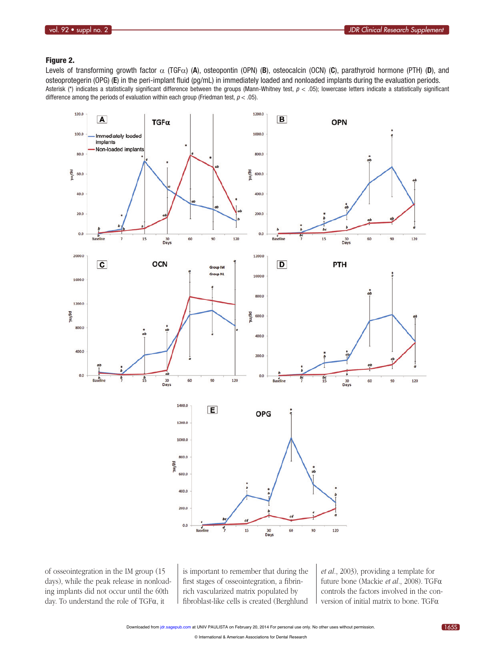## Figure 2.

Levels of transforming growth factor  $\alpha$  (TGF $\alpha$ ) (A), osteopontin (OPN) (B), osteocalcin (OCN) (C), parathyroid hormone (PTH) (D), and osteoprotegerin (OPG) (E) in the peri-implant fluid (pg/mL) in immediately loaded and nonloaded implants during the evaluation periods. Asterisk (\*) indicates a statistically significant difference between the groups (Mann-Whitney test,  $p < .05$ ); lowercase letters indicate a statistically significant difference among the periods of evaluation within each group (Friedman test,  $p < .05$ ).



of osseointegration in the IM group (15 days), while the peak release in nonloading implants did not occur until the 60th day. To understand the role of TGF $\alpha$ , it

is important to remember that during the first stages of osseointegration, a fibrinrich vascularized matrix populated by fibroblast-li[ke cells is cr](http://jdr.sagepub.com/)eated (Berghlund

et al., 2003), providing a template for future bone (Mackie et al., 2008). TGF $\alpha$ controls the factors involved in the conversion of initial matrix to bone. TGF $\alpha$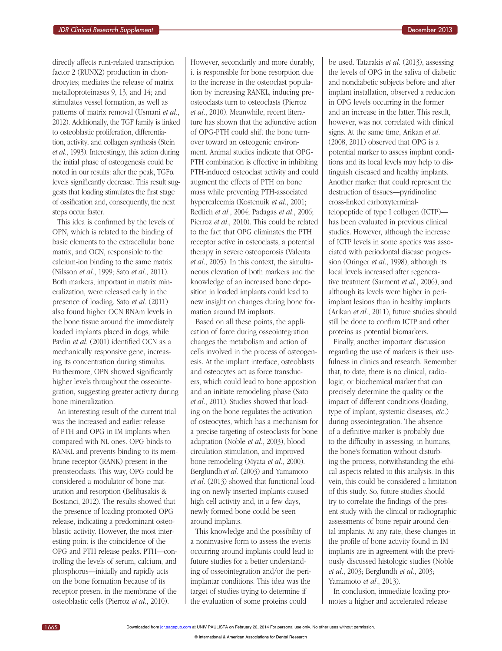directly affects runt-related transcription factor 2 (RUNX2) production in chondrocytes; mediates the release of matrix metalloproteinases 9, 13, and 14; and stimulates vessel formation, as well as patterns of matrix removal (Usmani et al., 2012). Additionally, the TGF family is linked to osteoblastic proliferation, differentiation, activity, and collagen synthesis (Stein et al., 1993). Interestingly, this action during the initial phase of osteogenesis could be noted in our results: after the peak,  $TGF\alpha$ levels significantly decrease. This result suggests that loading stimulates the first stage of ossification and, consequently, the next steps occur faster.

This idea is confirmed by the levels of OPN, which is related to the binding of basic elements to the extracellular bone matrix, and OCN, responsible to the calcium-ion binding to the same matrix (Nilsson et al., 1999; Sato et al., 2011). Both markers, important in matrix mineralization, were released early in the presence of loading. Sato et al. (2011) also found higher OCN RNAm levels in the bone tissue around the immediately loaded implants placed in dogs, while Pavlin et al. (2001) identified OCN as a mechanically responsive gene, increasing its concentration during stimulus. Furthermore, OPN showed significantly higher levels throughout the osseointegration, suggesting greater activity during bone mineralization.

An interesting result of the current trial was the increased and earlier release of PTH and OPG in IM implants when compared with NL ones. OPG binds to RANKL and prevents binding to its membrane receptor (RANK) present in the preosteoclasts. This way, OPG could be considered a modulator of bone maturation and resorption (Belibasakis & Bostanci, 2012). The results showed that the presence of loading promoted OPG release, indicating a predominant osteoblastic activity. However, the most interesting point is the coincidence of the OPG and PTH release peaks. PTH—controlling the levels of serum, calcium, and phosphorus—initially and rapidly acts on the bone formation because of its receptor present in the membrane of the osteoblastic cells (Pierroz et al., 2010).

However, secondarily and more durably, it is responsible for bone resorption due to the increase in the osteoclast population by increasing RANKL, inducing preosteoclasts turn to osteoclasts (Pierroz et al., 2010). Meanwhile, recent literature has shown that the adjunctive action of OPG-PTH could shift the bone turnover toward an osteogenic environment. Animal studies indicate that OPG-PTH combination is effective in inhibiting PTH-induced osteoclast activity and could augment the effects of PTH on bone mass while preventing PTH-associated hypercalcemia (Kostenuik et al., 2001; Redlich et al., 2004; Padagas et al., 2006; Pierroz et al., 2010). This could be related to the fact that OPG eliminates the PTH receptor active in osteoclasts, a potential therapy in severe osteoporosis (Valenta et al., 2005). In this context, the simultaneous elevation of both markers and the knowledge of an increased bone deposition in loaded implants could lead to new insight on changes during bone formation around IM implants.

Based on all these points, the application of force during osseointegration changes the metabolism and action of cells involved in the process of osteogenesis. At the implant interface, osteoblasts and osteocytes act as force transducers, which could lead to bone apposition and an initiate remodeling phase (Sato et al., 2011). Studies showed that loading on the bone regulates the activation of osteocytes, which has a mechanism for a precise targeting of osteoclasts for bone adaptation (Noble et al., 2003), blood circulation stimulation, and improved bone remodeling (Myata et al., 2000). Berglundh et al. (2003) and Yamamoto et al. (2013) showed that functional loading on newly inserted implants caused high cell activity and, in a few days, newly formed bone could be seen around implants.

This knowledge and the possibility of a noninvasive form to assess the events occurring around implants could lead to future studies for a better understanding of osseointegration and/or the periimplantar conditions. This idea was the target of studies trying to determine if the evalu[ation of som](http://jdr.sagepub.com/)e proteins could

be used. Tatarakis et al. (2013), assessing the levels of OPG in the saliva of diabetic and nondiabetic subjects before and after implant installation, observed a reduction in OPG levels occurring in the former and an increase in the latter. This result, however, was not correlated with clinical signs. At the same time, Arikan et al. (2008, 2011) observed that OPG is a potential marker to assess implant conditions and its local levels may help to distinguish diseased and healthy implants. Another marker that could represent the destruction of tissues—pyridinoline cross-linked carboxyterminaltelopeptide of type I collagen (ICTP) has been evaluated in previous clinical studies. However, although the increase of ICTP levels in some species was associated with periodontal disease progression (Oringer et al., 1998), although its local levels increased after regenerative treatment (Sarment et al., 2006), and although its levels were higher in periimplant lesions than in healthy implants (Arikan et al., 2011), future studies should still be done to confirm ICTP and other proteins as potential biomarkers.

Finally, another important discussion regarding the use of markers is their usefulness in clinics and research. Remember that, to date, there is no clinical, radiologic, or biochemical marker that can precisely determine the quality or the impact of different conditions (loading, type of implant, systemic diseases, etc.) during osseointegration. The absence of a definitive marker is probably due to the difficulty in assessing, in humans, the bone's formation without disturbing the process, notwithstanding the ethical aspects related to this analysis. In this vein, this could be considered a limitation of this study. So, future studies should try to correlate the findings of the present study with the clinical or radiographic assessments of bone repair around dental implants. At any rate, these changes in the profile of bone activity found in IM implants are in agreement with the previously discussed histologic studies (Noble et al., 2003; Berglundh et al., 2003; Yamamoto et al., 2013).

In conclusion, immediate loading promotes a higher and accelerated release